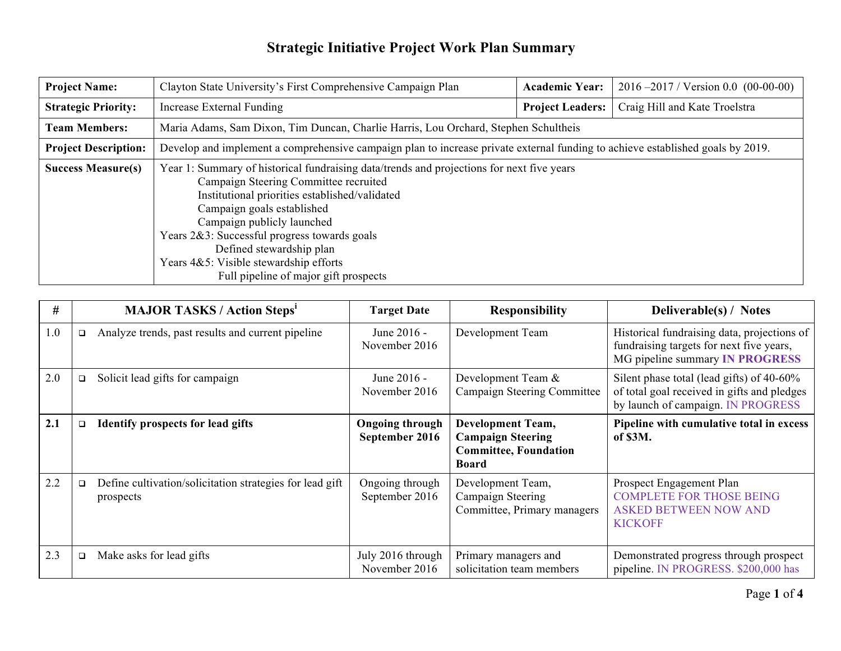| <b>Project Name:</b>        | Clayton State University's First Comprehensive Campaign Plan                                                                                                                                                                                                                                                                                                                                                    | <b>Academic Year:</b>   | $2016 - 2017$ / Version 0.0 (00-00-00) |  |  |
|-----------------------------|-----------------------------------------------------------------------------------------------------------------------------------------------------------------------------------------------------------------------------------------------------------------------------------------------------------------------------------------------------------------------------------------------------------------|-------------------------|----------------------------------------|--|--|
| <b>Strategic Priority:</b>  | Increase External Funding                                                                                                                                                                                                                                                                                                                                                                                       | <b>Project Leaders:</b> | Craig Hill and Kate Troelstra          |  |  |
| <b>Team Members:</b>        | Maria Adams, Sam Dixon, Tim Duncan, Charlie Harris, Lou Orchard, Stephen Schultheis                                                                                                                                                                                                                                                                                                                             |                         |                                        |  |  |
| <b>Project Description:</b> | Develop and implement a comprehensive campaign plan to increase private external funding to achieve established goals by 2019.                                                                                                                                                                                                                                                                                  |                         |                                        |  |  |
| <b>Success Measure(s)</b>   | Year 1: Summary of historical fundraising data/trends and projections for next five years<br>Campaign Steering Committee recruited<br>Institutional priorities established/validated<br>Campaign goals established<br>Campaign publicly launched<br>Years 2&3: Successful progress towards goals<br>Defined stewardship plan<br>Years 4&5: Visible stewardship efforts<br>Full pipeline of major gift prospects |                         |                                        |  |  |

| #   |        | <b>MAJOR TASKS / Action Steps'</b>                                    | <b>Target Date</b>                       | <b>Responsibility</b>                                                                         | <b>Deliverable(s) / Notes</b>                                                                                                     |
|-----|--------|-----------------------------------------------------------------------|------------------------------------------|-----------------------------------------------------------------------------------------------|-----------------------------------------------------------------------------------------------------------------------------------|
| 1.0 | $\Box$ | Analyze trends, past results and current pipeline                     | June 2016 -<br>November 2016             | Development Team                                                                              | Historical fundraising data, projections of<br>fundraising targets for next five years,<br>MG pipeline summary <b>IN PROGRESS</b> |
| 2.0 | $\Box$ | Solicit lead gifts for campaign                                       | June 2016 -<br>November 2016             | Development Team &<br>Campaign Steering Committee                                             | Silent phase total (lead gifts) of 40-60%<br>of total goal received in gifts and pledges<br>by launch of campaign. IN PROGRESS    |
| 2.1 | o.     | Identify prospects for lead gifts                                     | <b>Ongoing through</b><br>September 2016 | Development Team,<br><b>Campaign Steering</b><br><b>Committee, Foundation</b><br><b>Board</b> | Pipeline with cumulative total in excess<br>of \$3M.                                                                              |
| 2.2 | o.     | Define cultivation/solicitation strategies for lead gift<br>prospects | Ongoing through<br>September 2016        | Development Team,<br>Campaign Steering<br>Committee, Primary managers                         | Prospect Engagement Plan<br><b>COMPLETE FOR THOSE BEING</b><br><b>ASKED BETWEEN NOW AND</b><br><b>KICKOFF</b>                     |
| 2.3 | $\Box$ | Make asks for lead gifts                                              | July 2016 through<br>November 2016       | Primary managers and<br>solicitation team members                                             | Demonstrated progress through prospect<br>pipeline. IN PROGRESS. \$200,000 has                                                    |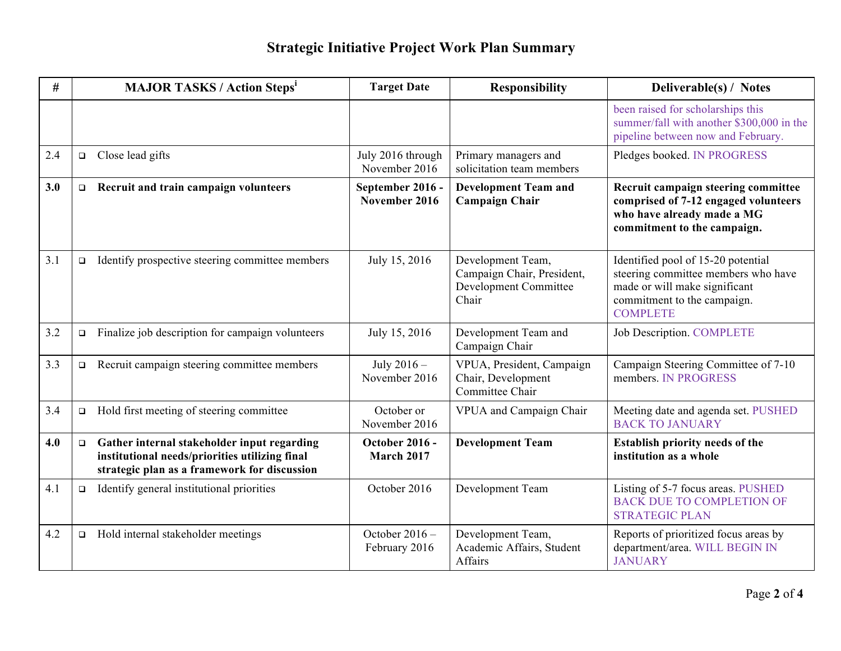| #   |        | <b>MAJOR TASKS / Action Steps'</b>                                                                                                            | <b>Target Date</b>                  | <b>Responsibility</b>                                                             | Deliverable(s) / Notes                                                                                                                                       |
|-----|--------|-----------------------------------------------------------------------------------------------------------------------------------------------|-------------------------------------|-----------------------------------------------------------------------------------|--------------------------------------------------------------------------------------------------------------------------------------------------------------|
|     |        |                                                                                                                                               |                                     |                                                                                   | been raised for scholarships this<br>summer/fall with another \$300,000 in the<br>pipeline between now and February.                                         |
| 2.4 | $\Box$ | Close lead gifts                                                                                                                              | July 2016 through<br>November 2016  | Primary managers and<br>solicitation team members                                 | Pledges booked. IN PROGRESS                                                                                                                                  |
| 3.0 | $\Box$ | Recruit and train campaign volunteers                                                                                                         | September 2016 -<br>November 2016   | <b>Development Team and</b><br><b>Campaign Chair</b>                              | Recruit campaign steering committee<br>comprised of 7-12 engaged volunteers<br>who have already made a MG<br>commitment to the campaign.                     |
| 3.1 | $\Box$ | Identify prospective steering committee members                                                                                               | July 15, 2016                       | Development Team,<br>Campaign Chair, President,<br>Development Committee<br>Chair | Identified pool of 15-20 potential<br>steering committee members who have<br>made or will make significant<br>commitment to the campaign.<br><b>COMPLETE</b> |
| 3.2 | $\Box$ | Finalize job description for campaign volunteers                                                                                              | July 15, 2016                       | Development Team and<br>Campaign Chair                                            | <b>Job Description. COMPLETE</b>                                                                                                                             |
| 3.3 | $\Box$ | Recruit campaign steering committee members                                                                                                   | July 2016 -<br>November 2016        | VPUA, President, Campaign<br>Chair, Development<br>Committee Chair                | Campaign Steering Committee of 7-10<br>members. IN PROGRESS                                                                                                  |
| 3.4 | $\Box$ | Hold first meeting of steering committee                                                                                                      | October or<br>November 2016         | VPUA and Campaign Chair                                                           | Meeting date and agenda set. PUSHED<br><b>BACK TO JANUARY</b>                                                                                                |
| 4.0 | $\Box$ | Gather internal stakeholder input regarding<br>institutional needs/priorities utilizing final<br>strategic plan as a framework for discussion | <b>October 2016 -</b><br>March 2017 | <b>Development Team</b>                                                           | <b>Establish priority needs of the</b><br>institution as a whole                                                                                             |
| 4.1 | $\Box$ | Identify general institutional priorities                                                                                                     | October 2016                        | Development Team                                                                  | Listing of 5-7 focus areas. PUSHED<br><b>BACK DUE TO COMPLETION OF</b><br><b>STRATEGIC PLAN</b>                                                              |
| 4.2 | $\Box$ | Hold internal stakeholder meetings                                                                                                            | October $2016 -$<br>February 2016   | Development Team,<br>Academic Affairs, Student<br>Affairs                         | Reports of prioritized focus areas by<br>department/area. WILL BEGIN IN<br><b>JANUARY</b>                                                                    |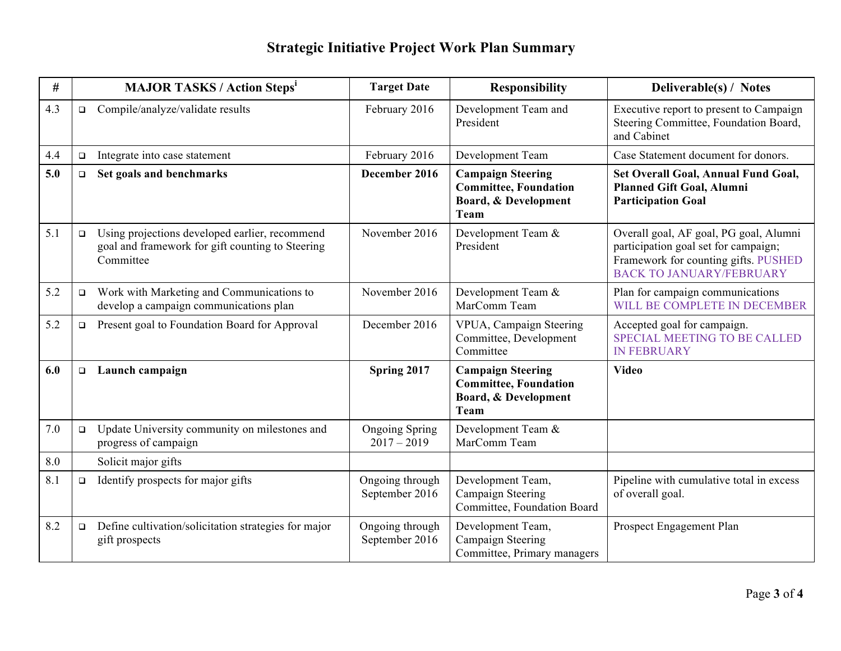| #   |        | <b>MAJOR TASKS / Action Steps<sup>1</sup></b>                                                                   | <b>Target Date</b>                     | <b>Responsibility</b>                                                                    | Deliverable(s) / Notes                                                                                                                                    |
|-----|--------|-----------------------------------------------------------------------------------------------------------------|----------------------------------------|------------------------------------------------------------------------------------------|-----------------------------------------------------------------------------------------------------------------------------------------------------------|
| 4.3 | $\Box$ | Compile/analyze/validate results                                                                                | February 2016                          | Development Team and<br>President                                                        | Executive report to present to Campaign<br>Steering Committee, Foundation Board,<br>and Cabinet                                                           |
| 4.4 | $\Box$ | Integrate into case statement                                                                                   | February 2016                          | Development Team                                                                         | Case Statement document for donors.                                                                                                                       |
| 5.0 | $\Box$ | Set goals and benchmarks                                                                                        | December 2016                          | <b>Campaign Steering</b><br><b>Committee, Foundation</b><br>Board, & Development<br>Team | Set Overall Goal, Annual Fund Goal,<br><b>Planned Gift Goal, Alumni</b><br><b>Participation Goal</b>                                                      |
| 5.1 | $\Box$ | Using projections developed earlier, recommend<br>goal and framework for gift counting to Steering<br>Committee | November 2016                          | Development Team &<br>President                                                          | Overall goal, AF goal, PG goal, Alumni<br>participation goal set for campaign;<br>Framework for counting gifts. PUSHED<br><b>BACK TO JANUARY/FEBRUARY</b> |
| 5.2 | $\Box$ | Work with Marketing and Communications to<br>develop a campaign communications plan                             | November 2016                          | Development Team &<br>MarComm Team                                                       | Plan for campaign communications<br>WILL BE COMPLETE IN DECEMBER                                                                                          |
| 5.2 | $\Box$ | Present goal to Foundation Board for Approval                                                                   | December 2016                          | VPUA, Campaign Steering<br>Committee, Development<br>Committee                           | Accepted goal for campaign.<br><b>SPECIAL MEETING TO BE CALLED</b><br><b>IN FEBRUARY</b>                                                                  |
| 6.0 | $\Box$ | Launch campaign                                                                                                 | Spring 2017                            | <b>Campaign Steering</b><br><b>Committee, Foundation</b><br>Board, & Development<br>Team | <b>Video</b>                                                                                                                                              |
| 7.0 | $\Box$ | Update University community on milestones and<br>progress of campaign                                           | <b>Ongoing Spring</b><br>$2017 - 2019$ | Development Team &<br>MarComm Team                                                       |                                                                                                                                                           |
| 8.0 |        | Solicit major gifts                                                                                             |                                        |                                                                                          |                                                                                                                                                           |
| 8.1 | $\Box$ | Identify prospects for major gifts                                                                              | Ongoing through<br>September 2016      | Development Team,<br>Campaign Steering<br>Committee, Foundation Board                    | Pipeline with cumulative total in excess<br>of overall goal.                                                                                              |
| 8.2 | $\Box$ | Define cultivation/solicitation strategies for major<br>gift prospects                                          | Ongoing through<br>September 2016      | Development Team,<br>Campaign Steering<br>Committee, Primary managers                    | Prospect Engagement Plan                                                                                                                                  |